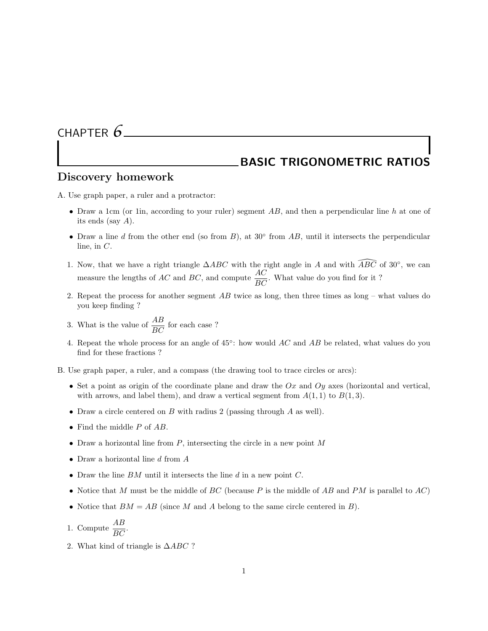## CHAPTER *6*

## BASIC TRIGONOMETRIC RATIOS

## Discovery homework

A. Use graph paper, a ruler and a protractor:

- Draw a 1cm (or 1in, according to your ruler) segment  $AB$ , and then a perpendicular line h at one of its ends (say A).
- Draw a line d from the other end (so from  $B$ ), at 30 $\degree$  from  $AB$ , until it intersects the perpendicular line, in  $C$ .
- 1. Now, that we have a right triangle  $\triangle ABC$  with the right angle in A and with  $\widehat{ABC}$  of 30°, we can measure the lengths of AC and BC, and compute  $\frac{AC}{BC}$ . What value do you find for it?
- 2. Repeat the process for another segment  $AB$  twice as long, then three times as long what values do you keep finding ?
- 3. What is the value of  $\frac{AB}{BC}$  for each case ?
- 4. Repeat the whole process for an angle of  $45^{\circ}$ : how would  $AC$  and  $AB$  be related, what values do you find for these fractions ?

B. Use graph paper, a ruler, and a compass (the drawing tool to trace circles or arcs):

- Set a point as origin of the coordinate plane and draw the  $Ox$  and  $Oy$  axes (horizontal and vertical, with arrows, and label them), and draw a vertical segment from  $A(1, 1)$  to  $B(1, 3)$ .
- Draw a circle centered on  $B$  with radius 2 (passing through  $A$  as well).
- Find the middle P of AB.
- Draw a horizontal line from  $P$ , intersecting the circle in a new point  $M$
- Draw a horizontal line  $d$  from  $A$
- Draw the line  $BM$  until it intersects the line  $d$  in a new point  $C$ .
- Notice that M must be the middle of  $BC$  (because P is the middle of AB and PM is parallel to  $AC$ )
- Notice that  $BM = AB$  (since M and A belong to the same circle centered in B).
- 1. Compute  $\frac{AB}{BC}$ .
- 2. What kind of triangle is  $\triangle ABC$  ?